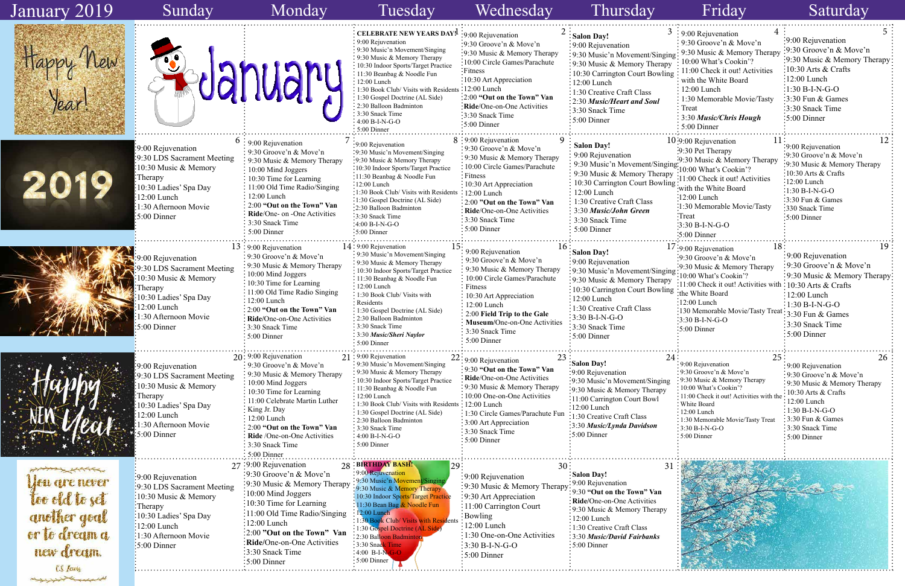| 3    | $\overline{4}$<br>9:00 Rejuvenation                     | 5                               |
|------|---------------------------------------------------------|---------------------------------|
|      | 9:30 Groove'n & Move'n                                  | 9:00 Rejuvenation               |
|      |                                                         | 9:30 Groove'n & Move'n          |
| şing | 9:30 Music & Memory Therapy                             | 9:30 Music & Memory Therapy     |
| pу   | 10:00 What's Cookin'?                                   |                                 |
| ing  | 11:00 Check it out! Activities                          | 10:30 Arts & Crafts             |
|      | with the White Board                                    | 12:00 Lunch                     |
|      | $12:00$ Lunch                                           | 1:30 B-I-N-G-O                  |
|      | 1:30 Memorable Movie/Tasty                              | 3:30 Fun & Games                |
|      | Treat                                                   | 3:30 Snack Time                 |
|      | 3:30 Music/Chris Hough                                  | 5:00 Dinner                     |
|      | 5:00 Dinner                                             |                                 |
|      | 11                                                      | 12                              |
|      | 10:9:00 Rejuvenation                                    | 9:00 Rejuvenation               |
|      | :9:30 Pet Therapy                                       | 9:30 Groove'n & Move'n          |
| ging | :9:30 Music & Memory Therapy                            | 9:30 Music & Memory Therapy     |
| ру   | 10:00 What's Cookin'?                                   | 10:30 Arts & Crafts             |
| ling | 11:00 Check it out! Activities                          | $12:00$ Lunch                   |
|      | with the White Board                                    | $1:30 B-I-N-G-O$                |
|      | $:12:00$ Lunch                                          | 3:30 Fun & Games                |
|      | :1:30 Memorable Movie/Tasty                             | 330 Snack Time                  |
|      | :Treat                                                  | 5:00 Dinner                     |
|      | $:3:30 B-I-N-G-O$                                       |                                 |
|      | $:5:00$ Dinner                                          |                                 |
|      | 18                                                      | 19                              |
|      | 17:9:00 Rejuvenation                                    | 9:00 Rejuvenation               |
|      | 9:30 Groove'n & Move'n                                  | 9:30 Groove'n & Move'n          |
| şing | 9:30 Music & Memory Therapy<br>10:00 What's Cookin'?    |                                 |
| ру   |                                                         | 9:30 Music & Memory Therapy     |
| ing  | 11:00 Check it out! Activities with<br>the White Board: | 10:30 Arts & Crafts             |
|      | :12:00 Lunch                                            | 12:00 Lunch                     |
|      |                                                         | 1:30 B-I-N-G-O                  |
|      | 130 Memorable Movie/Tasty Treat<br>3:30 B-I-N-G-O       | 3:30 Fun & Games                |
|      | 5:00 Dinner                                             | 3:30 Snack Time                 |
|      |                                                         | 5:00 Dinner                     |
|      |                                                         |                                 |
|      |                                                         |                                 |
| 24   | 25<br>9:00 Rejuvenation                                 | 26                              |
|      | 9:30 Groove'n & Move'n                                  | 9:00 Rejuvenation               |
| ng   | 9:30 Music & Memory Therapy                             | 9:30 Groove'n & Move'n          |
|      | 10:00 What's Cookin'?                                   | 9:30 Music & Memory Therapy     |
|      | 11:00 Check it out! Activities with the                 | 10:30 Arts & Crafts             |
|      | White Board                                             | 12:00 Lunch<br>$1:30 B-I-N-G-O$ |
|      | 12:00 Lunch                                             | $3:30$ Fun & Games              |
|      | 1:30 Memorable Movie/Tasty Treat<br>3:30 B-I-N-G-O      | 3:30 Snack Time                 |
|      | 5:00 Dinner                                             |                                 |
|      |                                                         | 5:00 Dinner                     |
|      |                                                         |                                 |
|      |                                                         |                                 |
| 31   |                                                         |                                 |
|      |                                                         |                                 |
|      |                                                         |                                 |
|      |                                                         |                                 |
|      |                                                         |                                 |
|      |                                                         |                                 |
|      |                                                         |                                 |

| January 2019                                                              | Sunday                                                                                                                                                                                                         | Monday                                                                                                                                                                                                                                                                                                                                                 | Tuesday                                                                                                                                                                                                                                                                                                                                                                                       | Wednesday                                                                                                                                                                                                                                                                                                 | Thursday                                                                                                                                                                                                                                                                                                                  | Friday                                                                                                                                                                                                                                                                         | Saturday                                                                                                                                                                                                                                                                              |
|---------------------------------------------------------------------------|----------------------------------------------------------------------------------------------------------------------------------------------------------------------------------------------------------------|--------------------------------------------------------------------------------------------------------------------------------------------------------------------------------------------------------------------------------------------------------------------------------------------------------------------------------------------------------|-----------------------------------------------------------------------------------------------------------------------------------------------------------------------------------------------------------------------------------------------------------------------------------------------------------------------------------------------------------------------------------------------|-----------------------------------------------------------------------------------------------------------------------------------------------------------------------------------------------------------------------------------------------------------------------------------------------------------|---------------------------------------------------------------------------------------------------------------------------------------------------------------------------------------------------------------------------------------------------------------------------------------------------------------------------|--------------------------------------------------------------------------------------------------------------------------------------------------------------------------------------------------------------------------------------------------------------------------------|---------------------------------------------------------------------------------------------------------------------------------------------------------------------------------------------------------------------------------------------------------------------------------------|
| New<br>Year                                                               |                                                                                                                                                                                                                | <b>anuary</b>                                                                                                                                                                                                                                                                                                                                          | CELEBRATE NEW YEARS DAY! : 9:00 Rejuvenation<br>: 9:00 Rejuvenation<br>: 9:30 Music'n Movement/Singing<br>: 9:30 Music & Memory Therapy<br>10:30 Indoor Sports/Target Practice<br>: 11:30 Beanbag & Noodle Fun<br>12:00 Lunch<br>: 1:30 Book Club/ Visits with Resident<br>: 1:30 Gospel Doctrine (AL Side)<br>: 2:30 Balloon Badminton<br>3:30 Snack Time<br>$4:00 B-I-N-G-O$<br>5:00 Dinner | :9:30 Groove'n & Move'n<br>$\cdot$ 9:30 Music & Memory Therapy<br>:10:00 Circle Games/Parachute<br>:Fitness<br>:10:30 Art Appreciation<br>$\cdot$ 12:00 Lunch<br>:2:00 "Out on the Town" Van<br>:Ride/One-on-One Activities<br>$:3:30$ Snack Time<br>$\frac{1}{2}$ 5:00 Dinner                            | : Salon Day!<br>: 9:00 Rejuvenation<br>: 9:30 Music'n Movement/Singing<br>: 9:30 Music & Memory Therapy<br>: 10:30 Carrington Court Bowling : 11:00 Check it out! Activities<br>$\frac{1}{2}$ 12:00 Lunch<br>$\div 1:30$ Creative Craft Class<br>: 2:30 Music/Heart and Soul<br>:3:30 Snack Time<br>$:5:00$ Dinner        | $\div$ 9:00 Rejuvenation<br>$\div$ 9:30 Groove'n & Move'n<br>9:30 Music & Memory Therapy<br>10:00 What's Cookin'?<br>with the White Board<br>$: 12:00$ Lunch<br>: 1:30 Memorable Movie/Tasty<br>$\frac{1}{2}$ Treat<br>$\frac{1}{2}$ 3:30 Music/Chris Hough<br>$: 5:00$ Dinner | :9:00 Rejuvenation<br>$\frac{1}{2}$ :30 Groove'n & Move'n<br>:9:30 Music & Memory Therapy<br>$\frac{10:30 \text{ Arts}}{8}$ Crafts<br>$\frac{1}{2}12:00$ Lunch<br>$-1:30 B-I-N-G-O$<br>$\frac{3:30 \text{ Fun } \& \text{Games}}{2}$<br>:3:30 Snack Time<br>$\frac{1}{2}$ 5:00 Dinner |
| 2019                                                                      | :9:00 Rejuvenation<br>:9:30 LDS Sacrament Meeting<br>10:30 Music & Memory<br>. Therapy<br>10:30 Ladies' Spa Day<br>$:12:00$ Lunch<br>1:30 Afternoon Movie<br>$\frac{5:00 \text{ Dinner}}{2}$                   | $\sigma$ : 9:00 Rejuvenation<br>: 9:30 Groove'n & Move'n<br>$\frac{1}{2}$ 9:30 Music & Memory Therapy<br>: 10:00 Mind Joggers<br>: 10:30 Time for Learning<br>$\therefore$ 11:00 Old Time Radio/Singing<br>$\frac{1}{2}$ 12:00 Lunch<br>: 2:00 "Out on the Town" Van<br>Ride/One- on -One Activities<br>: 3:30 Snack Time<br>$\frac{1}{2}$ 5:00 Dinner | :9:00 Rejuvenation<br>:9:30 Music'n Movement/Singing<br>:9:30 Music & Memory Therapy<br>:10:30 Indoor Sports/Target Practice<br>:11:30 Beanbag & Noodle Fun<br>$:12:00$ Lunch<br>1:30 Book Club/ Visits with Residents: 12:00 Lunch<br>:1:30 Gospel Doctrine (AL Side)<br>:2:30 Balloon Badminton<br>:3:30 Snack Time<br>$\cdot$ 4:00 B-I-N-G-O<br>:5:00 Dinner                               | $8:9:00$ Rejuvenation<br>$\frac{1}{2}$ 9:30 Groove'n & Move'n<br>: 9:30 Music & Memory Therapy<br>: 10:00 Circle Games/Parachute<br>: Fitness<br>$\frac{1}{2}$ 10:30 Art Appreciation<br>: 2:00 "Out on the Town" Van<br>: Ride/One-on-One Activities<br>: 3:30 Snack Time<br>$:5:00$ Dinner              | <b>Salon Day!</b><br>9:00 Rejuvenation<br>9:30 Music'n Movement/Singing:<br>9:30 Music & Memory Therapy<br>10:30 Carrington Court Bowling<br>12:00 Lunch<br>1:30 Creative Craft Class<br>3:30 Music/John Green<br>3:30 Snack Time<br>5:00 Dinner                                                                          | 10:9:00 Rejuvenation<br>:9:30 Pet Therapy<br>:9:30 Music & Memory Therapy<br>'10:00 What's Cookin'?<br>'11:00 Check it out! Activities<br>with the White Board<br>:12:00 Lunch<br>:1:30 Memorable Movie/Tasty<br>$:$ Treat<br>$:3:30 B-I-N-G-O$<br>$:5:00$ Dinner              | :9:00 Rejuvenation<br>:9:30 Groove'n & Move'n<br>:9:30 Music & Memory Therapy<br>$10:30$ Arts & Crafts<br>$:12:00$ Lunch<br>$:1:30 B-I-N-G-O$<br>$:3:30$ Fun & Games<br>:330 Snack Time<br>$\div 5:00$ Dinner                                                                         |
|                                                                           | 9:00 Rejuvenation<br>:9:30 LDS Sacrament Meeting<br>10:30 Music & Memory<br>Therapy<br>0:30 Ladies' Spa Day<br>$:12:00$ Lunch<br>1:30 Afternoon Movie<br>$\frac{1}{2}5:00$ Dinner                              | $13:9:00$ Rejuvenation<br>: 9:30 Groove'n & Move'n<br>: 9:30 Music & Memory Therapy<br>: 10:00 Mind Joggers<br>$\frac{1}{2}$ 10:30 Time for Learning<br>: 11:00 Old Time Radio Singing<br>: 12:00 Lunch<br>$: 2:00$ "Out on the Town" Van<br>: Ride/One-on-One Activities<br>: 3:30 Snack Time<br>∶5:00 Dinner                                         | $14 \cdot 9:00$ Rejuvenation<br>: 9:30 Music'n Movement/Singing<br>: 9:30 Music & Memory Therapy<br>: 10:30 Indoor Sports/Target Practice<br>: 11:30 Beanbag & Noodle Fun<br>: 12:00 Lunch<br>: 1:30 Book Club/ Visits with<br>: Residents<br>: 1:30 Gospel Doctrine (AL Side)<br>$\frac{1}{2}$ 2:30 Balloon Badminton<br>: 3:30 Snack Time<br>: 3:30 Music/Sheri Naylor<br>$5:00$ Dinner     | 9:00 Rejuvenation<br>: 9:30 Groove'n & Move'n<br>: 9:30 Music & Memory Therapy<br>$\frac{1}{2}$ 10:00 Circle Games/Parachute<br>: Fitness<br>: 10:30 Art Appreciation<br>: 12:00 Lunch<br>$\frac{1}{2}$ 2:00 Field Trip to the Gale<br>Museum/One-on-One Activities<br>: 3:30 Snack Time<br>: 5:00 Dinner | <b>Salon Day!</b><br>: 9:00 Rejuvenation<br>: 9:30 Music'n Movement/Singing : 10:00 What's Cookin'?<br>:9:30 Music & Memory Therapy<br>: 10:30 Carrington Court Bowling : the White Board<br>$\frac{1}{2}12:00$ Lunch<br>$\frac{1}{2}$ 1:30 Creative Craft Class<br>$:3:30 B-I-N-G-O$<br>:3:30 Snack Time<br>:5:00 Dinner | 18:<br>$17:9:00$ Rejuvenation<br>:9:30 Groove'n & Move'n<br>:9:30 Music & Memory Therapy<br>:11:00 Check it out! Activities with : 10:30 Arts & Crafts<br>$\cdot$ 12:00 Lunch<br>:130 Memorable Movie/Tasty Treat<br>$3:30 B-I-N-G-O$<br>:5:00 Dinner                          | 19<br>:9:00 Rejuvenation<br>:9:30 Groove'n & Move'n<br>:9:30 Music & Memory Therapy<br>$\frac{1}{2}$ :00 Lunch<br>$:1:30 B-I-N-G-O$<br>3:30 Fun & Games<br>÷3:30 Snack Time<br>$\frac{1}{2}$ 5:00 Dinner                                                                              |
|                                                                           | :9:00 Rejuvenation<br>9:30 LDS Sacrament Meeting<br>10:30 Music & Memory<br>Therapy<br>10:30 Ladies' Spa Day<br>12:00 Lunch<br>1:30 Afternoon Movie<br>5:00 Dinner                                             | 20: 9:00 Rejuvenation<br>: 9:30 Groove'n & Move'n<br>: 9:30 Music & Memory Therapy<br>10:00 Mind Joggers<br>10:30 Time for Learning<br>: 11:00 Celebrate Martin Luther<br>: King Jr. Day<br>12:00 Lunch<br>2:00 "Out on the Town" Van<br>Ride /One-on-One Activities<br>$\frac{1}{2}$ 3:30 Snack Time<br>5:00 Dinner                                   | $21:9:00$ Rejuvenation<br>: 9:30 Music'n Movement/Singing<br>: 9:30 Music & Memory Therapy<br>: 10:30 Indoor Sports/Target Practice<br>$\div$ 11:30 Beanbag & Noodle Fun<br>: 12:00 Lunch<br>: 1:30 Book Club/ Visits with Residents: 12:00 Lunch<br>: 1:30 Gospel Doctrine (AL Side)<br>: 2:30 Balloon Badminton<br>: 3:30 Snack Time<br>$:4:00 B-I-N-G-O$<br>$\frac{1}{2}$ 5:00 Dinner      | 23<br>$22:9:00$ Rejuvenation<br>: 9:30 "Out on the Town" Van<br>: Ride/One-on-One Activities<br>$\frac{1}{2}$ 9:30 Music & Memory Therapy<br>: 10:00 One-on-One Activities<br>: 1:30 Circle Games/Parachute Fun<br>$\div$ 3:00 Art Appreciation<br>: 3:30 Snack Time<br>: 5:00 Dinner                     | 24:<br>: Salon Day!<br>:9:00 Rejuvenation<br>:9:30 Music'n Movement/Singing<br>:9:30 Music & Memory Therapy<br>:11:00 Carrington Court Bowl<br>$:12:00$ Lunch<br>1:30 Creative Craft Class<br>:3:30 Music/Lynda Davidson<br>$\frac{1}{2}$ 5:00 Dinner                                                                     | 25<br>: 9:00 Rejuvenation<br>: 9:30 Groove'n & Move'n<br>: 9:30 Music & Memory Therapy<br>: 10:00 What's Cookin'?<br>: 11:00 Check it out! Activities with<br>: White Board<br>$: 12:00$ Lunch<br>: 1:30 Memorable Movie/Tasty Treat<br>$: 3:30 B-I-N-G-O$<br>$:5:00$ Dinner   | 26<br>÷9:00 Rejuvenation<br>:9:30 Groove'n & Move'n<br>: 9:30 Music & Memory Therapy<br>$: 10:30$ Arts & Crafts<br>12:00 Lunch<br>$:1:30 B-I-N-G-O$<br>: $3:30$ Fun & Games<br>$\frac{1}{2}$ 3:30 Snack Time<br>$\div$ 5:00 Dinner                                                    |
| for old to set<br>another goal<br>or to dream a<br>new dream.<br>U. Jewis | $\cdot$ 9:00 Rejuvenation<br>:9:30 LDS Sacrament Meeting<br>$\frac{1}{2}10:30$ Music & Memory<br>$\therefore$ Therapy<br>:10:30 Ladies' Spa Day<br>$:12:00$ Lunch<br>$:1:30$ Afternoon Movie<br>$:5:00$ Dinner | 27:9:00 Rejuvenation<br>:9:30 Groove'n & Move'n<br>:9:30 Music & Memory Therapy<br>:10:00 Mind Joggers<br>:10:30 Time for Learning<br>:11:00 Old Time Radio/Singing<br>:12:00 Lunch<br>:2:00 "Out on the Town" Van<br>Ride/One-on-One Activities<br>:3:30 Snack Time<br>$:5:00$ Dinner                                                                 | 28 BIRTHDAY BASH!<br>$\cdot$ 9:00 Rejuvenation<br>: 9:30 Music'n Movement/Singin<br>9:30 Music & Memory Therapy<br>: 10:30 Indoor Sports/Target Practice<br>$\cdot$ 11:30 Bean Bag & Noodle Fun<br>12:00 Lunch<br>1:30 Book Club/ Visits with Residents<br>: 1:30 Gospel Doctrine (AL Side<br>: 2:30 Balloon Badmintor<br>:3:30 Snack Time<br>$:4:00$ B-I-N-G-O<br>: 5:00 Dinner              | $\div$ 9:00 Rejuvenation<br>$\frac{1}{2}$ 9:30 Music & Memory Therapy<br>$\frac{1}{2}$ 9:30 Art Appreciation<br>:11:00 Carrington Court<br>: Bowling<br>$: 12:00$ Lunch<br>: 1:30 One-on-One Activities<br>$:3:30 B-I-N-G-O$<br>$: 5:00$ Dinner                                                           | : Salon Day!<br>$\div 9:00$ Rejuvenation<br>9:30 "Out on the Town" Van<br>: Ride/One-on-One Activities<br>: 9:30 Music & Memory Therapy<br>: 12:00 Lunch<br>$\frac{1}{2}$ 1:30 Creative Craft Class<br>: 3:30 Music/David Fairbanks<br>:5:00 Dinner                                                                       |                                                                                                                                                                                                                                                                                |                                                                                                                                                                                                                                                                                       |